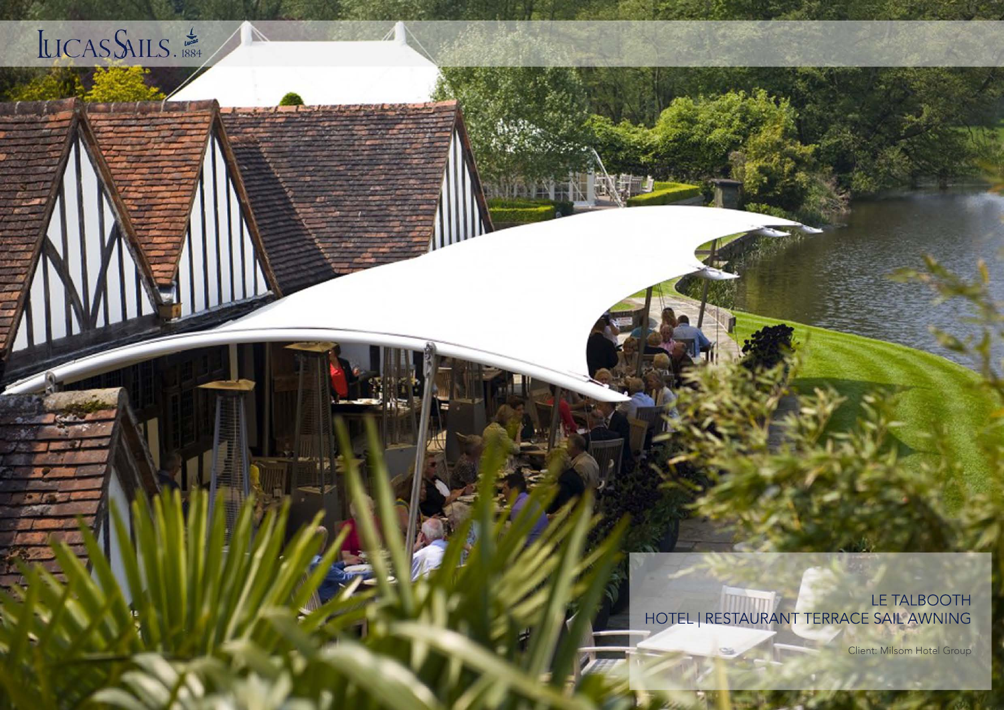

LE TALBOOTH HOTEL | RESTAURANT TERRACE SAIL AWNING

Client: Milsom Hotel Group